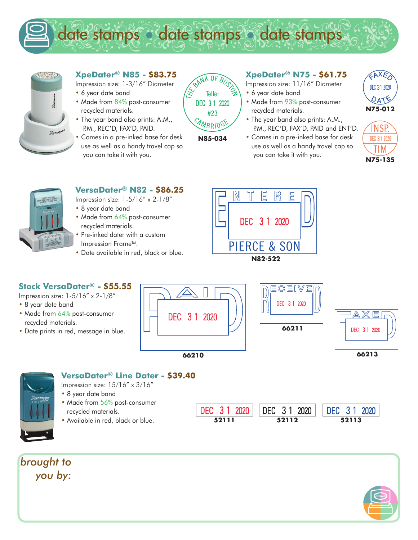



- **XpeDater® N85 \$83.75**
- Impression size: 1-3/16" Diameter
- 6 year date band
- Made from 84% post-consumer recycled materials.
- The year band also prints: A.M., P.M., REC'D, FAX'D, PAID.
- Comes in a pre-inked base for desk use as well as a handy travel cap so you can take it with you.



**N85-034**

### **XpeDater® N75 - \$61.75**

Impression size: 11/16" Diameter

- 6 year date band
- Made from 93% post-consumer recycled materials.
- The year band also prints: A.M., P.M., REC'D, FAX'D, PAID and ENT'D.
- Comes in a pre-inked base for desk use as well as a handy travel cap so you can take it with you.







# **VersaDater® N82 - \$86.25**

Impression size: 1-5/16" x 2-1/8"

- 8 year date band
- Made from 64% post-consumer recycled materials.
- Pre-inked dater with a custom Impression Frame™.
- Date available in red, black or blue.

#### **Stock VersaDater® - \$55.55**

Impression size: 1-5/16" x 2-1/8"

- 8 year date band
- Made from 64% post-consumer recycled materials.
- Date prints in red, message in blue.



DEC 31 2020





#### **VersaDater® Line Dater - \$39.40**

Impression size: 15/16" x 3/16"

- 8 year date band
- Made from 56% post-consumer recycled materials.
- Available in red, black or blue.

*brought to you by:*



DEC 3 1 2020

**52111 52112 52113**

DEC 3 1 2020